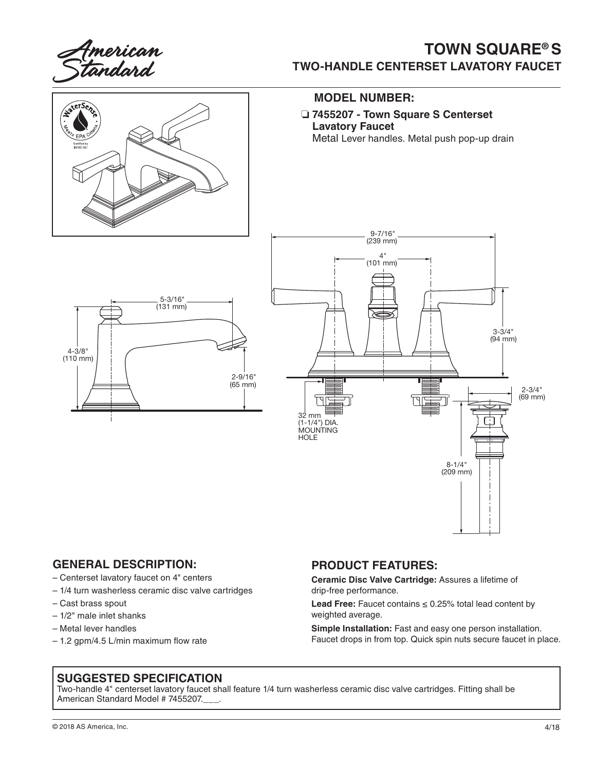

# **TOWN SQUARE® S TWO-HANDLE CENTERSET LAVATORY FAUCET**



#### **MODEL NUMBER:**

❏ **7455207 - Town Square S Centerset Lavatory Faucet** Metal Lever handles. Metal push pop-up drain

> 9-7/16" (239 mm)

 $\mathcal{A}$ (101 mm) 5-3/16" (131 mm) 2-9/16" (65 mm) ГЧ 32 mm (1-1/4") DIA. MOUNTING **HOLE** 

### **GENERAL DESCRIPTION:**

- Centerset lavatory faucet on 4" centers
- 1/4 turn washerless ceramic disc valve cartridges
- Cast brass spout

4-3/8" (110 mm)

- 1/2" male inlet shanks
- Metal lever handles
- 1.2 gpm/4.5 L/min maximum flow rate

#### **PRODUCT FEATURES:**

**Ceramic Disc Valve Cartridge:** Assures a lifetime of drip-free performance.

**Lead Free:** Faucet contains ≤ 0.25% total lead content by weighted average.

**Simple Installation:** Fast and easy one person installation. Faucet drops in from top. Quick spin nuts secure faucet in place.

8-1/4" (209 mm)

3-3/4" (94 mm)

> 2-3/4" (69 mm)

#### **SUGGESTED SPECIFICATION**

Two-handle 4" centerset lavatory faucet shall feature 1/4 turn washerless ceramic disc valve cartridges. Fitting shall be American Standard Model # 7455207.